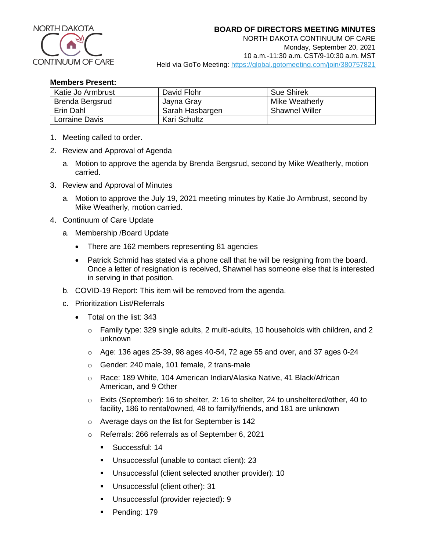

NORTH DAKOTA CONTINUUM OF CARE Monday, September 20, 2021 10 a.m.-11:30 a.m. CST/9-10:30 a.m. MST Held via GoTo Meeting:<https://global.gotomeeting.com/join/380757821>

## **Members Present:**

| Katie Jo Armbrust | David Flohr     | <b>Sue Shirek</b>     |
|-------------------|-----------------|-----------------------|
| Brenda Bergsrud   | Jayna Gray      | Mike Weatherly        |
| Erin Dahl         | Sarah Hasbargen | <b>Shawnel Willer</b> |
| Lorraine Davis    | Kari Schultz    |                       |

- 1. Meeting called to order.
- 2. Review and Approval of Agenda
	- a. Motion to approve the agenda by Brenda Bergsrud, second by Mike Weatherly, motion carried.
- 3. Review and Approval of Minutes
	- a. Motion to approve the July 19, 2021 meeting minutes by Katie Jo Armbrust, second by Mike Weatherly, motion carried.
- 4. Continuum of Care Update
	- a. Membership /Board Update
		- There are 162 members representing 81 agencies
		- Patrick Schmid has stated via a phone call that he will be resigning from the board. Once a letter of resignation is received, Shawnel has someone else that is interested in serving in that position.
	- b. COVID-19 Report: This item will be removed from the agenda.
	- c. Prioritization List/Referrals
		- Total on the list: 343
			- $\circ$  Family type: 329 single adults, 2 multi-adults, 10 households with children, and 2 unknown
			- $\circ$  Age: 136 ages 25-39, 98 ages 40-54, 72 age 55 and over, and 37 ages 0-24
			- o Gender: 240 male, 101 female, 2 trans-male
			- o Race: 189 White, 104 American Indian/Alaska Native, 41 Black/African American, and 9 Other
			- $\circ$  Exits (September): 16 to shelter, 2: 16 to shelter, 24 to unsheltered/other, 40 to facility, 186 to rental/owned, 48 to family/friends, and 181 are unknown
			- o Average days on the list for September is 142
			- o Referrals: 266 referrals as of September 6, 2021
				- Successful: 14
				- Unsuccessful (unable to contact client): 23
				- Unsuccessful (client selected another provider): 10
				- **■** Unsuccessful (client other): 31
				- Unsuccessful (provider rejected): 9
				- Pending: 179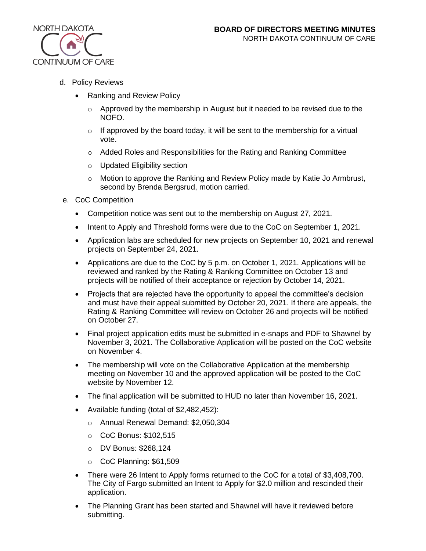

- d. Policy Reviews
	- Ranking and Review Policy
		- $\circ$  Approved by the membership in August but it needed to be revised due to the NOFO.
		- $\circ$  If approved by the board today, it will be sent to the membership for a virtual vote.
		- $\circ$  Added Roles and Responsibilities for the Rating and Ranking Committee
		- o Updated Eligibility section
		- o Motion to approve the Ranking and Review Policy made by Katie Jo Armbrust, second by Brenda Bergsrud, motion carried.
- e. CoC Competition
	- Competition notice was sent out to the membership on August 27, 2021.
	- Intent to Apply and Threshold forms were due to the CoC on September 1, 2021.
	- Application labs are scheduled for new projects on September 10, 2021 and renewal projects on September 24, 2021.
	- Applications are due to the CoC by 5 p.m. on October 1, 2021. Applications will be reviewed and ranked by the Rating & Ranking Committee on October 13 and projects will be notified of their acceptance or rejection by October 14, 2021.
	- Projects that are rejected have the opportunity to appeal the committee's decision and must have their appeal submitted by October 20, 2021. If there are appeals, the Rating & Ranking Committee will review on October 26 and projects will be notified on October 27.
	- Final project application edits must be submitted in e-snaps and PDF to Shawnel by November 3, 2021. The Collaborative Application will be posted on the CoC website on November 4.
	- The membership will vote on the Collaborative Application at the membership meeting on November 10 and the approved application will be posted to the CoC website by November 12.
	- The final application will be submitted to HUD no later than November 16, 2021.
	- Available funding (total of \$2,482,452):
		- o Annual Renewal Demand: \$2,050,304
		- o CoC Bonus: \$102,515
		- o DV Bonus: \$268,124
		- o CoC Planning: \$61,509
	- There were 26 Intent to Apply forms returned to the CoC for a total of \$3,408,700. The City of Fargo submitted an Intent to Apply for \$2.0 million and rescinded their application.
	- The Planning Grant has been started and Shawnel will have it reviewed before submitting.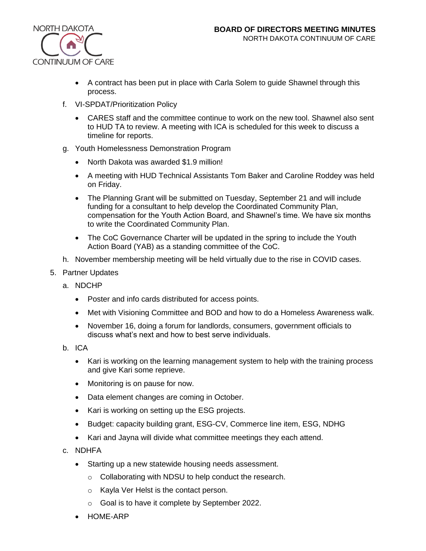

- A contract has been put in place with Carla Solem to guide Shawnel through this process.
- f. VI-SPDAT/Prioritization Policy
	- CARES staff and the committee continue to work on the new tool. Shawnel also sent to HUD TA to review. A meeting with ICA is scheduled for this week to discuss a timeline for reports.
- g. Youth Homelessness Demonstration Program
	- North Dakota was awarded \$1.9 million!
	- A meeting with HUD Technical Assistants Tom Baker and Caroline Roddey was held on Friday.
	- The Planning Grant will be submitted on Tuesday, September 21 and will include funding for a consultant to help develop the Coordinated Community Plan, compensation for the Youth Action Board, and Shawnel's time. We have six months to write the Coordinated Community Plan.
	- The CoC Governance Charter will be updated in the spring to include the Youth Action Board (YAB) as a standing committee of the CoC.
- h. November membership meeting will be held virtually due to the rise in COVID cases.
- 5. Partner Updates
	- a. NDCHP
		- Poster and info cards distributed for access points.
		- Met with Visioning Committee and BOD and how to do a Homeless Awareness walk.
		- November 16, doing a forum for landlords, consumers, government officials to discuss what's next and how to best serve individuals.
	- b. ICA
		- Kari is working on the learning management system to help with the training process and give Kari some reprieve.
		- Monitoring is on pause for now.
		- Data element changes are coming in October.
		- Kari is working on setting up the ESG projects.
		- Budget: capacity building grant, ESG-CV, Commerce line item, ESG, NDHG
		- Kari and Jayna will divide what committee meetings they each attend.
	- c. NDHFA
		- Starting up a new statewide housing needs assessment.
			- o Collaborating with NDSU to help conduct the research.
			- o Kayla Ver Helst is the contact person.
			- o Goal is to have it complete by September 2022.
		- HOME-ARP